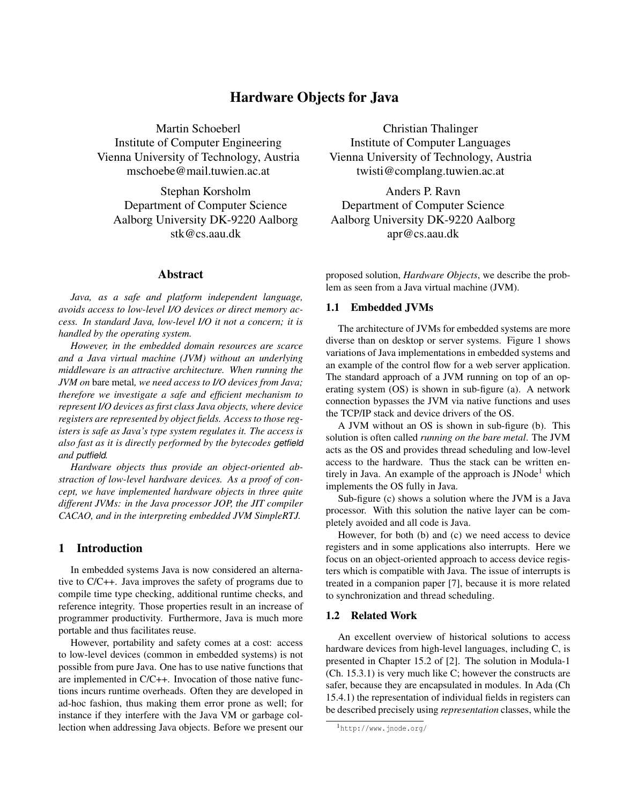# Hardware Objects for Java

Martin Schoeberl Institute of Computer Engineering Vienna University of Technology, Austria mschoebe@mail.tuwien.ac.at

Stephan Korsholm Department of Computer Science Aalborg University DK-9220 Aalborg stk@cs.aau.dk

### Abstract

*Java, as a safe and platform independent language, avoids access to low-level I/O devices or direct memory access. In standard Java, low-level I/O it not a concern; it is handled by the operating system.*

*However, in the embedded domain resources are scarce and a Java virtual machine (JVM) without an underlying middleware is an attractive architecture. When running the JVM on* bare metal*, we need access to I/O devices from Java; therefore we investigate a safe and efficient mechanism to represent I/O devices as first class Java objects, where device registers are represented by object fields. Access to those registers is safe as Java's type system regulates it. The access is also fast as it is directly performed by the bytecodes getfield and putfield.*

*Hardware objects thus provide an object-oriented abstraction of low-level hardware devices. As a proof of concept, we have implemented hardware objects in three quite different JVMs: in the Java processor JOP, the JIT compiler CACAO, and in the interpreting embedded JVM SimpleRTJ.*

## 1 Introduction

In embedded systems Java is now considered an alternative to C/C++. Java improves the safety of programs due to compile time type checking, additional runtime checks, and reference integrity. Those properties result in an increase of programmer productivity. Furthermore, Java is much more portable and thus facilitates reuse.

However, portability and safety comes at a cost: access to low-level devices (common in embedded systems) is not possible from pure Java. One has to use native functions that are implemented in C/C++. Invocation of those native functions incurs runtime overheads. Often they are developed in ad-hoc fashion, thus making them error prone as well; for instance if they interfere with the Java VM or garbage collection when addressing Java objects. Before we present our

Christian Thalinger Institute of Computer Languages Vienna University of Technology, Austria twisti@complang.tuwien.ac.at

Anders P. Ravn Department of Computer Science Aalborg University DK-9220 Aalborg apr@cs.aau.dk

proposed solution, *Hardware Objects*, we describe the problem as seen from a Java virtual machine (JVM).

### 1.1 Embedded JVMs

The architecture of JVMs for embedded systems are more diverse than on desktop or server systems. Figure 1 shows variations of Java implementations in embedded systems and an example of the control flow for a web server application. The standard approach of a JVM running on top of an operating system (OS) is shown in sub-figure (a). A network connection bypasses the JVM via native functions and uses the TCP/IP stack and device drivers of the OS.

A JVM without an OS is shown in sub-figure (b). This solution is often called *running on the bare metal*. The JVM acts as the OS and provides thread scheduling and low-level access to the hardware. Thus the stack can be written entirely in Java. An example of the approach is JNode<sup>1</sup> which implements the OS fully in Java.

Sub-figure (c) shows a solution where the JVM is a Java processor. With this solution the native layer can be completely avoided and all code is Java.

However, for both (b) and (c) we need access to device registers and in some applications also interrupts. Here we focus on an object-oriented approach to access device registers which is compatible with Java. The issue of interrupts is treated in a companion paper [7], because it is more related to synchronization and thread scheduling.

### 1.2 Related Work

An excellent overview of historical solutions to access hardware devices from high-level languages, including C, is presented in Chapter 15.2 of [2]. The solution in Modula-1 (Ch. 15.3.1) is very much like C; however the constructs are safer, because they are encapsulated in modules. In Ada (Ch 15.4.1) the representation of individual fields in registers can be described precisely using *representation* classes, while the

<sup>1</sup>http://www.jnode.org/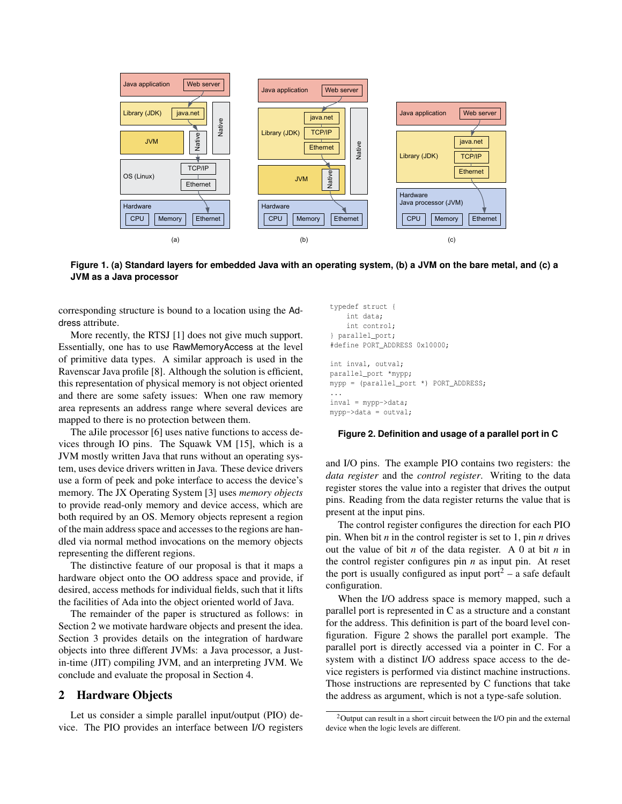

**Figure 1. (a) Standard layers for embedded Java with an operating system, (b) a JVM on the bare metal, and (c) a JVM as a Java processor**

corresponding structure is bound to a location using the Address attribute.

More recently, the RTSJ [1] does not give much support. Essentially, one has to use RawMemoryAccess at the level of primitive data types. A similar approach is used in the Ravenscar Java profile [8]. Although the solution is efficient, this representation of physical memory is not object oriented and there are some safety issues: When one raw memory area represents an address range where several devices are mapped to there is no protection between them.

The aJile processor [6] uses native functions to access devices through IO pins. The Squawk VM [15], which is a JVM mostly written Java that runs without an operating system, uses device drivers written in Java. These device drivers use a form of peek and poke interface to access the device's memory. The JX Operating System [3] uses *memory objects* to provide read-only memory and device access, which are both required by an OS. Memory objects represent a region of the main address space and accesses to the regions are handled via normal method invocations on the memory objects representing the different regions.

The distinctive feature of our proposal is that it maps a hardware object onto the OO address space and provide, if desired, access methods for individual fields, such that it lifts the facilities of Ada into the object oriented world of Java.

The remainder of the paper is structured as follows: in Section 2 we motivate hardware objects and present the idea. Section 3 provides details on the integration of hardware objects into three different JVMs: a Java processor, a Justin-time (JIT) compiling JVM, and an interpreting JVM. We conclude and evaluate the proposal in Section 4.

## 2 Hardware Objects

Let us consider a simple parallel input/output (PIO) device. The PIO provides an interface between I/O registers

```
typedef struct {
    int data;
    int control;
} parallel_port;
#define PORT_ADDRESS 0x10000;
int inval, outval;
parallel_port *mypp;
mypp = (parallel_port *) PORT_ADDRESS;
...
inval = mypp->data;
mypp->data = outval;
```
#### **Figure 2. Definition and usage of a parallel port in C**

and I/O pins. The example PIO contains two registers: the *data register* and the *control register*. Writing to the data register stores the value into a register that drives the output pins. Reading from the data register returns the value that is present at the input pins.

The control register configures the direction for each PIO pin. When bit *n* in the control register is set to 1, pin *n* drives out the value of bit *n* of the data register. A 0 at bit *n* in the control register configures pin *n* as input pin. At reset the port is usually configured as input port<sup>2</sup> – a safe default configuration.

When the I/O address space is memory mapped, such a parallel port is represented in C as a structure and a constant for the address. This definition is part of the board level configuration. Figure 2 shows the parallel port example. The parallel port is directly accessed via a pointer in C. For a system with a distinct I/O address space access to the device registers is performed via distinct machine instructions. Those instructions are represented by C functions that take the address as argument, which is not a type-safe solution.

<sup>&</sup>lt;sup>2</sup>Output can result in a short circuit between the I/O pin and the external device when the logic levels are different.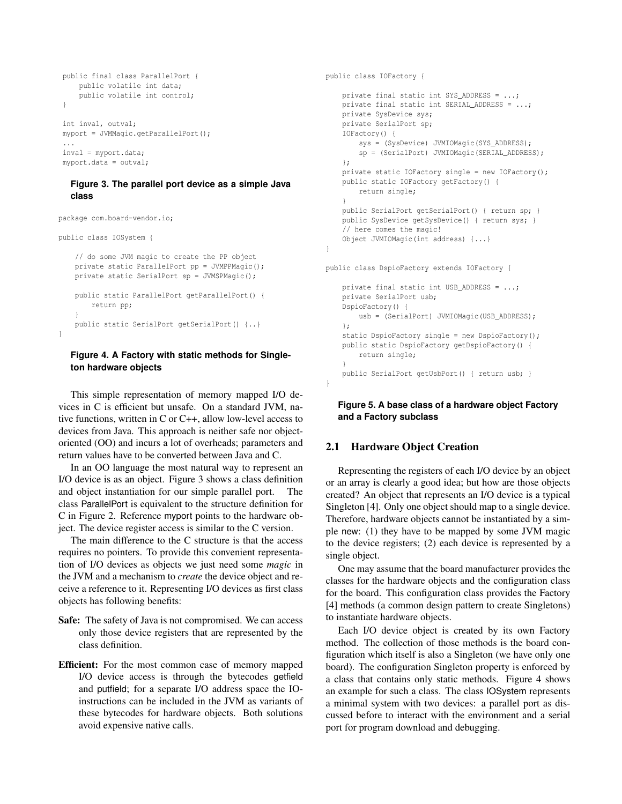```
public final class ParallelPort {
    public volatile int data;
    public volatile int control;
}
int inval, outval;
myport = JVMMagic.getParallelPort();
...
inval = myport.data;
myport.data = outval;
```
#### **Figure 3. The parallel port device as a simple Java class**

package com.board-vendor.io;

public class IOSystem {

}

```
// do some JVM magic to create the PP object
private static ParallelPort pp = JVMPPMagic();
private static SerialPort sp = JVMSPMagic();
public static ParallelPort getParallelPort() {
    return pp;
}
public static SerialPort getSerialPort() {..}
```
## **Figure 4. A Factory with static methods for Singleton hardware objects**

This simple representation of memory mapped I/O devices in C is efficient but unsafe. On a standard JVM, native functions, written in C or C++, allow low-level access to devices from Java. This approach is neither safe nor objectoriented (OO) and incurs a lot of overheads; parameters and return values have to be converted between Java and C.

In an OO language the most natural way to represent an I/O device is as an object. Figure 3 shows a class definition and object instantiation for our simple parallel port. The class ParallelPort is equivalent to the structure definition for C in Figure 2. Reference myport points to the hardware object. The device register access is similar to the C version.

The main difference to the C structure is that the access requires no pointers. To provide this convenient representation of I/O devices as objects we just need some *magic* in the JVM and a mechanism to *create* the device object and receive a reference to it. Representing I/O devices as first class objects has following benefits:

- Safe: The safety of Java is not compromised. We can access only those device registers that are represented by the class definition.
- Efficient: For the most common case of memory mapped I/O device access is through the bytecodes getfield and putfield; for a separate I/O address space the IOinstructions can be included in the JVM as variants of these bytecodes for hardware objects. Both solutions avoid expensive native calls.

```
public class IOFactory {
    private final static int SYS_ADDRESS = ...;
   private final static int SERIAL_ADDRESS = ...;
    private SysDevice sys;
   private SerialPort sp;
    IOFactory() {
        sys = (SysDevice) JVMIOMagic(SYS_ADDRESS);
        sp = (SerialPort) JVMIOMagic(SERIAL_ADDRESS);
    };
    private static IOFactory single = new IOFactory();
    public static IOFactory getFactory() {
        return single;
    }
    public SerialPort getSerialPort() { return sp; }
    public SysDevice getSysDevice() { return sys; }
    // here comes the magic!
    Object JVMIOMagic(int address) {...}
}
public class DspioFactory extends IOFactory {
    private final static int USB ADDRESS = \ldots;
    private SerialPort usb;
    DspioFactory() {
        usb = (SerialPort) JVMIOMagic(USB ADDRESS);
    };
    static DspioFactory single = new DspioFactory();
    public static DspioFactory getDspioFactory() {
        return single;
    }
    public SerialPort getUsbPort() { return usb; }
```
**Figure 5. A base class of a hardware object Factory and a Factory subclass**

## 2.1 Hardware Object Creation

}

Representing the registers of each I/O device by an object or an array is clearly a good idea; but how are those objects created? An object that represents an I/O device is a typical Singleton [4]. Only one object should map to a single device. Therefore, hardware objects cannot be instantiated by a simple new: (1) they have to be mapped by some JVM magic to the device registers; (2) each device is represented by a single object.

One may assume that the board manufacturer provides the classes for the hardware objects and the configuration class for the board. This configuration class provides the Factory [4] methods (a common design pattern to create Singletons) to instantiate hardware objects.

Each I/O device object is created by its own Factory method. The collection of those methods is the board configuration which itself is also a Singleton (we have only one board). The configuration Singleton property is enforced by a class that contains only static methods. Figure 4 shows an example for such a class. The class IOSystem represents a minimal system with two devices: a parallel port as discussed before to interact with the environment and a serial port for program download and debugging.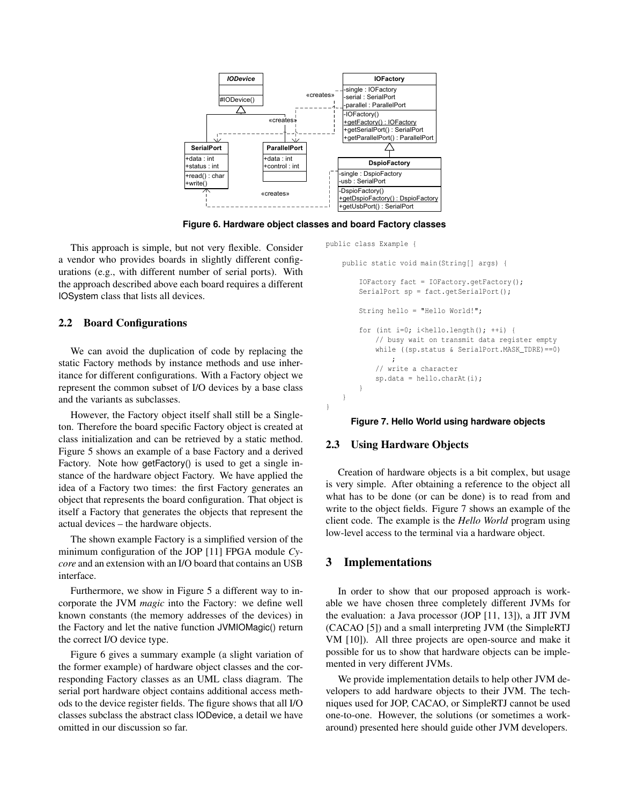

**Figure 6. Hardware object classes and board Factory classes**

}

This approach is simple, but not very flexible. Consider a vendor who provides boards in slightly different configurations (e.g., with different number of serial ports). With the approach described above each board requires a different IOSystem class that lists all devices.

#### 2.2 Board Configurations

We can avoid the duplication of code by replacing the static Factory methods by instance methods and use inheritance for different configurations. With a Factory object we represent the common subset of I/O devices by a base class and the variants as subclasses.

However, the Factory object itself shall still be a Singleton. Therefore the board specific Factory object is created at class initialization and can be retrieved by a static method. Figure 5 shows an example of a base Factory and a derived Factory. Note how getFactory() is used to get a single instance of the hardware object Factory. We have applied the idea of a Factory two times: the first Factory generates an object that represents the board configuration. That object is itself a Factory that generates the objects that represent the actual devices – the hardware objects.

The shown example Factory is a simplified version of the minimum configuration of the JOP [11] FPGA module *Cycore* and an extension with an I/O board that contains an USB interface.

Furthermore, we show in Figure 5 a different way to incorporate the JVM *magic* into the Factory: we define well known constants (the memory addresses of the devices) in the Factory and let the native function JVMIOMagic() return the correct I/O device type.

Figure 6 gives a summary example (a slight variation of the former example) of hardware object classes and the corresponding Factory classes as an UML class diagram. The serial port hardware object contains additional access methods to the device register fields. The figure shows that all I/O classes subclass the abstract class IODevice, a detail we have omitted in our discussion so far.

public class Example {

```
public static void main(String[] args) {
   IOFactory fact = IOFactory.getFactory();
   SerialPort sp = fact.getSerialPort();
   String hello = "Hello World!";
   for (int i=0; i<hello.length(); ++i) {
        // busy wait on transmit data register empty
        while ((sp.status & SerialPort.MASK_TDRE)==0)
            ;
        // write a character
        sp.data = hello.charAt(i);}
}
```
## **Figure 7. Hello World using hardware objects**

#### 2.3 Using Hardware Objects

Creation of hardware objects is a bit complex, but usage is very simple. After obtaining a reference to the object all what has to be done (or can be done) is to read from and write to the object fields. Figure 7 shows an example of the client code. The example is the *Hello World* program using low-level access to the terminal via a hardware object.

## 3 Implementations

In order to show that our proposed approach is workable we have chosen three completely different JVMs for the evaluation: a Java processor (JOP [11, 13]), a JIT JVM (CACAO [5]) and a small interpreting JVM (the SimpleRTJ VM [10]). All three projects are open-source and make it possible for us to show that hardware objects can be implemented in very different JVMs.

We provide implementation details to help other JVM developers to add hardware objects to their JVM. The techniques used for JOP, CACAO, or SimpleRTJ cannot be used one-to-one. However, the solutions (or sometimes a workaround) presented here should guide other JVM developers.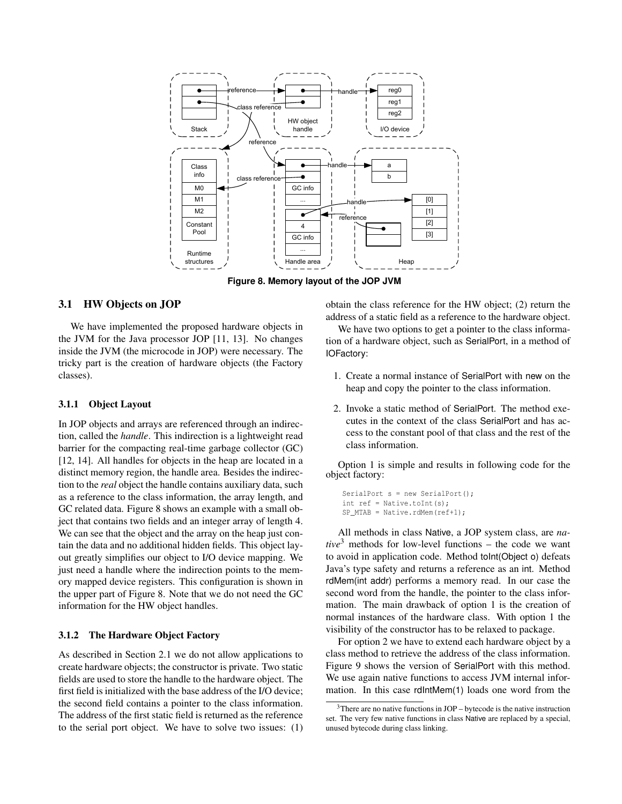

**Figure 8. Memory layout of the JOP JVM**

### 3.1 HW Objects on JOP

We have implemented the proposed hardware objects in the JVM for the Java processor JOP [11, 13]. No changes inside the JVM (the microcode in JOP) were necessary. The tricky part is the creation of hardware objects (the Factory classes).

#### 3.1.1 Object Layout

In JOP objects and arrays are referenced through an indirection, called the *handle*. This indirection is a lightweight read barrier for the compacting real-time garbage collector (GC) [12, 14]. All handles for objects in the heap are located in a distinct memory region, the handle area. Besides the indirection to the *real* object the handle contains auxiliary data, such as a reference to the class information, the array length, and GC related data. Figure 8 shows an example with a small object that contains two fields and an integer array of length 4. We can see that the object and the array on the heap just contain the data and no additional hidden fields. This object layout greatly simplifies our object to I/O device mapping. We just need a handle where the indirection points to the memory mapped device registers. This configuration is shown in the upper part of Figure 8. Note that we do not need the GC information for the HW object handles.

## 3.1.2 The Hardware Object Factory

As described in Section 2.1 we do not allow applications to create hardware objects; the constructor is private. Two static fields are used to store the handle to the hardware object. The first field is initialized with the base address of the I/O device; the second field contains a pointer to the class information. The address of the first static field is returned as the reference to the serial port object. We have to solve two issues: (1) obtain the class reference for the HW object; (2) return the address of a static field as a reference to the hardware object.

We have two options to get a pointer to the class information of a hardware object, such as SerialPort, in a method of IOFactory:

- 1. Create a normal instance of SerialPort with new on the heap and copy the pointer to the class information.
- 2. Invoke a static method of SerialPort. The method executes in the context of the class SerialPort and has access to the constant pool of that class and the rest of the class information.

Option 1 is simple and results in following code for the object factory:

```
SerialPort s = new SerialPort();
int ref = Native.toInt(s);
SP_MTAB = Native.rdMem(ref+1);
```
All methods in class Native, a JOP system class, are *na* $tive<sup>3</sup>$  methods for low-level functions – the code we want to avoid in application code. Method toInt(Object o) defeats Java's type safety and returns a reference as an int. Method rdMem(int addr) performs a memory read. In our case the second word from the handle, the pointer to the class information. The main drawback of option 1 is the creation of normal instances of the hardware class. With option 1 the visibility of the constructor has to be relaxed to package.

For option 2 we have to extend each hardware object by a class method to retrieve the address of the class information. Figure 9 shows the version of SerialPort with this method. We use again native functions to access JVM internal information. In this case rdIntMem(1) loads one word from the

<sup>3</sup>There are no native functions in JOP – bytecode is the native instruction set. The very few native functions in class Native are replaced by a special, unused bytecode during class linking.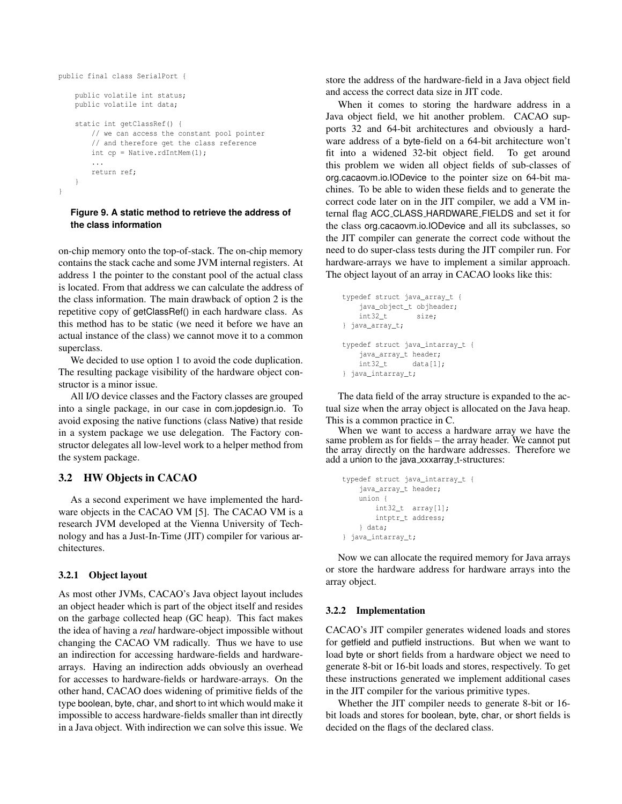```
public final class SerialPort {
    public volatile int status;
   public volatile int data;
    static int getClassRef() {
        // we can access the constant pool pointer
        // and therefore get the class reference
        int cp = Native.rdlntMem(1);...
        return ref;
    }
}
```
## **Figure 9. A static method to retrieve the address of the class information**

on-chip memory onto the top-of-stack. The on-chip memory contains the stack cache and some JVM internal registers. At address 1 the pointer to the constant pool of the actual class is located. From that address we can calculate the address of the class information. The main drawback of option 2 is the repetitive copy of getClassRef() in each hardware class. As this method has to be static (we need it before we have an actual instance of the class) we cannot move it to a common superclass.

We decided to use option 1 to avoid the code duplication. The resulting package visibility of the hardware object constructor is a minor issue.

All I/O device classes and the Factory classes are grouped into a single package, in our case in com.jopdesign.io. To avoid exposing the native functions (class Native) that reside in a system package we use delegation. The Factory constructor delegates all low-level work to a helper method from the system package.

## 3.2 HW Objects in CACAO

As a second experiment we have implemented the hardware objects in the CACAO VM [5]. The CACAO VM is a research JVM developed at the Vienna University of Technology and has a Just-In-Time (JIT) compiler for various architectures.

## 3.2.1 Object layout

As most other JVMs, CACAO's Java object layout includes an object header which is part of the object itself and resides on the garbage collected heap (GC heap). This fact makes the idea of having a *real* hardware-object impossible without changing the CACAO VM radically. Thus we have to use an indirection for accessing hardware-fields and hardwarearrays. Having an indirection adds obviously an overhead for accesses to hardware-fields or hardware-arrays. On the other hand, CACAO does widening of primitive fields of the type boolean, byte, char, and short to int which would make it impossible to access hardware-fields smaller than int directly in a Java object. With indirection we can solve this issue. We store the address of the hardware-field in a Java object field and access the correct data size in JIT code.

When it comes to storing the hardware address in a Java object field, we hit another problem. CACAO supports 32 and 64-bit architectures and obviously a hardware address of a byte-field on a 64-bit architecture won't fit into a widened 32-bit object field. To get around this problem we widen all object fields of sub-classes of org.cacaovm.io.IODevice to the pointer size on 64-bit machines. To be able to widen these fields and to generate the correct code later on in the JIT compiler, we add a VM internal flag ACC CLASS HARDWARE FIELDS and set it for the class org.cacaovm.io.IODevice and all its subclasses, so the JIT compiler can generate the correct code without the need to do super-class tests during the JIT compiler run. For hardware-arrays we have to implement a similar approach. The object layout of an array in CACAO looks like this:

```
typedef struct java_array_t {
   java_object_t objheader;
   int32_t size;
} java_array_t;
typedef struct java_intarray_t {
   java_array_t header;
   int32_t data[1];
} java_intarray_t;
```
The data field of the array structure is expanded to the actual size when the array object is allocated on the Java heap. This is a common practice in C.

When we want to access a hardware array we have the same problem as for fields – the array header. We cannot put the array directly on the hardware addresses. Therefore we add a union to the java\_xxxarray\_t-structures:

```
typedef struct java_intarray_t {
   java array t header;
   union {
       int32_t array[1];
       intptr_t_address:
   } data;
} java_intarray_t;
```
Now we can allocate the required memory for Java arrays or store the hardware address for hardware arrays into the array object.

#### 3.2.2 Implementation

CACAO's JIT compiler generates widened loads and stores for getfield and putfield instructions. But when we want to load byte or short fields from a hardware object we need to generate 8-bit or 16-bit loads and stores, respectively. To get these instructions generated we implement additional cases in the JIT compiler for the various primitive types.

Whether the JIT compiler needs to generate 8-bit or 16 bit loads and stores for boolean, byte, char, or short fields is decided on the flags of the declared class.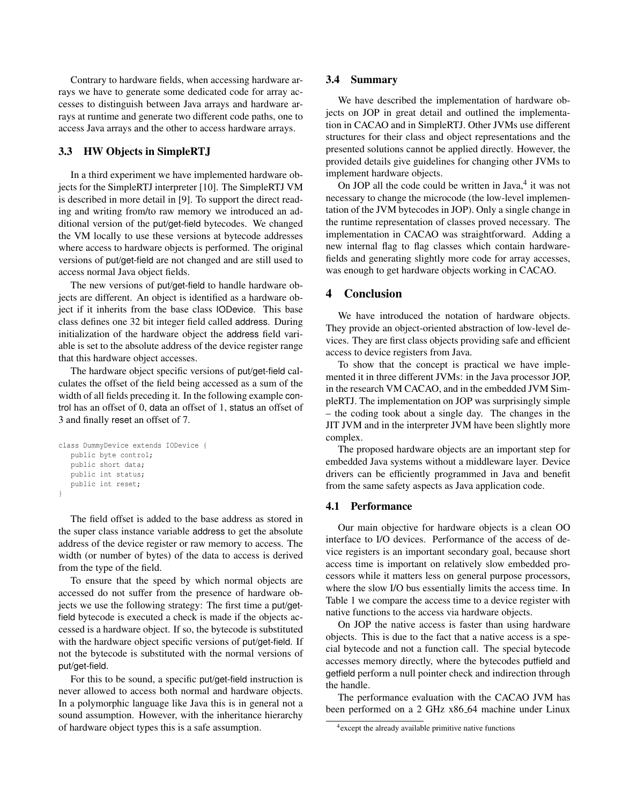Contrary to hardware fields, when accessing hardware arrays we have to generate some dedicated code for array accesses to distinguish between Java arrays and hardware arrays at runtime and generate two different code paths, one to access Java arrays and the other to access hardware arrays.

## 3.3 HW Objects in SimpleRTJ

In a third experiment we have implemented hardware objects for the SimpleRTJ interpreter [10]. The SimpleRTJ VM is described in more detail in [9]. To support the direct reading and writing from/to raw memory we introduced an additional version of the put/get-field bytecodes. We changed the VM locally to use these versions at bytecode addresses where access to hardware objects is performed. The original versions of put/get-field are not changed and are still used to access normal Java object fields.

The new versions of put/get-field to handle hardware objects are different. An object is identified as a hardware object if it inherits from the base class IODevice. This base class defines one 32 bit integer field called address. During initialization of the hardware object the address field variable is set to the absolute address of the device register range that this hardware object accesses.

The hardware object specific versions of put/get-field calculates the offset of the field being accessed as a sum of the width of all fields preceding it. In the following example control has an offset of 0, data an offset of 1, status an offset of 3 and finally reset an offset of 7.

```
class DummyDevice extends IODevice {
   public byte control;
   public short data;
   public int status;
   public int reset;
}
```
The field offset is added to the base address as stored in the super class instance variable address to get the absolute address of the device register or raw memory to access. The width (or number of bytes) of the data to access is derived from the type of the field.

To ensure that the speed by which normal objects are accessed do not suffer from the presence of hardware objects we use the following strategy: The first time a put/getfield bytecode is executed a check is made if the objects accessed is a hardware object. If so, the bytecode is substituted with the hardware object specific versions of put/get-field. If not the bytecode is substituted with the normal versions of put/get-field.

For this to be sound, a specific put/get-field instruction is never allowed to access both normal and hardware objects. In a polymorphic language like Java this is in general not a sound assumption. However, with the inheritance hierarchy of hardware object types this is a safe assumption.

### 3.4 Summary

We have described the implementation of hardware objects on JOP in great detail and outlined the implementation in CACAO and in SimpleRTJ. Other JVMs use different structures for their class and object representations and the presented solutions cannot be applied directly. However, the provided details give guidelines for changing other JVMs to implement hardware objects.

On JOP all the code could be written in Java,<sup>4</sup> it was not necessary to change the microcode (the low-level implementation of the JVM bytecodes in JOP). Only a single change in the runtime representation of classes proved necessary. The implementation in CACAO was straightforward. Adding a new internal flag to flag classes which contain hardwarefields and generating slightly more code for array accesses, was enough to get hardware objects working in CACAO.

## 4 Conclusion

We have introduced the notation of hardware objects. They provide an object-oriented abstraction of low-level devices. They are first class objects providing safe and efficient access to device registers from Java.

To show that the concept is practical we have implemented it in three different JVMs: in the Java processor JOP, in the research VM CACAO, and in the embedded JVM SimpleRTJ. The implementation on JOP was surprisingly simple – the coding took about a single day. The changes in the JIT JVM and in the interpreter JVM have been slightly more complex.

The proposed hardware objects are an important step for embedded Java systems without a middleware layer. Device drivers can be efficiently programmed in Java and benefit from the same safety aspects as Java application code.

#### 4.1 Performance

Our main objective for hardware objects is a clean OO interface to I/O devices. Performance of the access of device registers is an important secondary goal, because short access time is important on relatively slow embedded processors while it matters less on general purpose processors, where the slow I/O bus essentially limits the access time. In Table 1 we compare the access time to a device register with native functions to the access via hardware objects.

On JOP the native access is faster than using hardware objects. This is due to the fact that a native access is a special bytecode and not a function call. The special bytecode accesses memory directly, where the bytecodes putfield and getfield perform a null pointer check and indirection through the handle.

The performance evaluation with the CACAO JVM has been performed on a 2 GHz x86 64 machine under Linux

<sup>&</sup>lt;sup>4</sup> except the already available primitive native functions